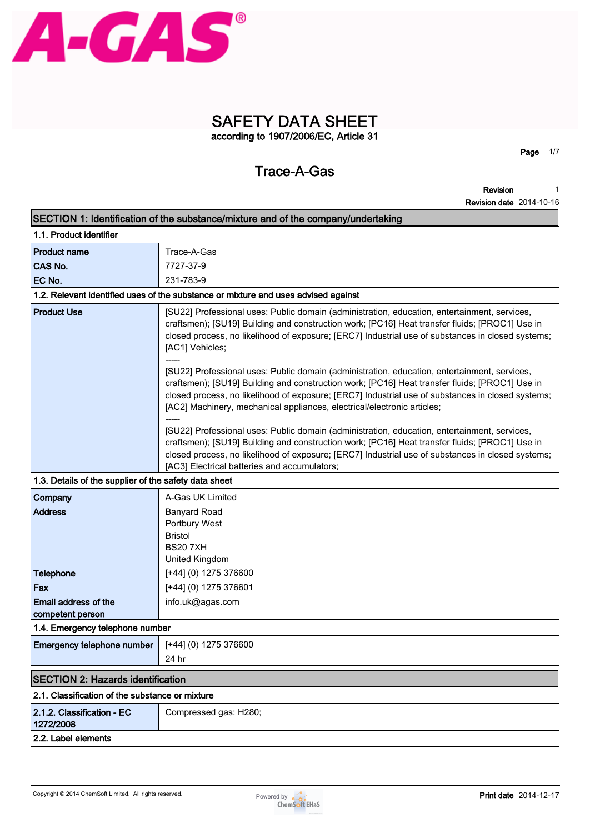

# **SAFETY DATA SHEET according to 1907/2006/EC, Article 31**

# **Trace-A-Gas**

**Page 1/7**

**Revision Revision date 2014-10-16 1**

|                                                       | SECTION 1: Identification of the substance/mixture and of the company/undertaking                                                                                                                                                                                                                                                                                                                                                                                                                                                                                                                                                                                                                                                                                                                                                                                                                                                                                                                               |  |  |
|-------------------------------------------------------|-----------------------------------------------------------------------------------------------------------------------------------------------------------------------------------------------------------------------------------------------------------------------------------------------------------------------------------------------------------------------------------------------------------------------------------------------------------------------------------------------------------------------------------------------------------------------------------------------------------------------------------------------------------------------------------------------------------------------------------------------------------------------------------------------------------------------------------------------------------------------------------------------------------------------------------------------------------------------------------------------------------------|--|--|
| 1.1. Product identifier                               |                                                                                                                                                                                                                                                                                                                                                                                                                                                                                                                                                                                                                                                                                                                                                                                                                                                                                                                                                                                                                 |  |  |
| <b>Product name</b>                                   | Trace-A-Gas                                                                                                                                                                                                                                                                                                                                                                                                                                                                                                                                                                                                                                                                                                                                                                                                                                                                                                                                                                                                     |  |  |
| CAS No.                                               | 7727-37-9                                                                                                                                                                                                                                                                                                                                                                                                                                                                                                                                                                                                                                                                                                                                                                                                                                                                                                                                                                                                       |  |  |
| EC No.                                                | 231-783-9                                                                                                                                                                                                                                                                                                                                                                                                                                                                                                                                                                                                                                                                                                                                                                                                                                                                                                                                                                                                       |  |  |
|                                                       | 1.2. Relevant identified uses of the substance or mixture and uses advised against                                                                                                                                                                                                                                                                                                                                                                                                                                                                                                                                                                                                                                                                                                                                                                                                                                                                                                                              |  |  |
| <b>Product Use</b>                                    | [SU22] Professional uses: Public domain (administration, education, entertainment, services,<br>craftsmen); [SU19] Building and construction work; [PC16] Heat transfer fluids; [PROC1] Use in<br>closed process, no likelihood of exposure; [ERC7] Industrial use of substances in closed systems;<br>[AC1] Vehicles;<br>[SU22] Professional uses: Public domain (administration, education, entertainment, services,<br>craftsmen); [SU19] Building and construction work; [PC16] Heat transfer fluids; [PROC1] Use in<br>closed process, no likelihood of exposure; [ERC7] Industrial use of substances in closed systems;<br>[AC2] Machinery, mechanical appliances, electrical/electronic articles;<br>[SU22] Professional uses: Public domain (administration, education, entertainment, services,<br>craftsmen); [SU19] Building and construction work; [PC16] Heat transfer fluids; [PROC1] Use in<br>closed process, no likelihood of exposure; [ERC7] Industrial use of substances in closed systems; |  |  |
|                                                       | [AC3] Electrical batteries and accumulators;                                                                                                                                                                                                                                                                                                                                                                                                                                                                                                                                                                                                                                                                                                                                                                                                                                                                                                                                                                    |  |  |
| 1.3. Details of the supplier of the safety data sheet |                                                                                                                                                                                                                                                                                                                                                                                                                                                                                                                                                                                                                                                                                                                                                                                                                                                                                                                                                                                                                 |  |  |
| Company                                               | A-Gas UK Limited                                                                                                                                                                                                                                                                                                                                                                                                                                                                                                                                                                                                                                                                                                                                                                                                                                                                                                                                                                                                |  |  |
| <b>Address</b>                                        | <b>Banyard Road</b><br>Portbury West<br><b>Bristol</b><br><b>BS207XH</b><br>United Kingdom                                                                                                                                                                                                                                                                                                                                                                                                                                                                                                                                                                                                                                                                                                                                                                                                                                                                                                                      |  |  |
| <b>Telephone</b>                                      | $[+44]$ (0) 1275 376600                                                                                                                                                                                                                                                                                                                                                                                                                                                                                                                                                                                                                                                                                                                                                                                                                                                                                                                                                                                         |  |  |
| Fax                                                   | [+44] (0) 1275 376601                                                                                                                                                                                                                                                                                                                                                                                                                                                                                                                                                                                                                                                                                                                                                                                                                                                                                                                                                                                           |  |  |
| Email address of the                                  | info.uk@agas.com                                                                                                                                                                                                                                                                                                                                                                                                                                                                                                                                                                                                                                                                                                                                                                                                                                                                                                                                                                                                |  |  |
| competent person                                      |                                                                                                                                                                                                                                                                                                                                                                                                                                                                                                                                                                                                                                                                                                                                                                                                                                                                                                                                                                                                                 |  |  |
| 1.4. Emergency telephone number                       |                                                                                                                                                                                                                                                                                                                                                                                                                                                                                                                                                                                                                                                                                                                                                                                                                                                                                                                                                                                                                 |  |  |
| Emergency telephone number                            | [+44] (0) 1275 376600                                                                                                                                                                                                                                                                                                                                                                                                                                                                                                                                                                                                                                                                                                                                                                                                                                                                                                                                                                                           |  |  |
|                                                       | 24 hr                                                                                                                                                                                                                                                                                                                                                                                                                                                                                                                                                                                                                                                                                                                                                                                                                                                                                                                                                                                                           |  |  |
| <b>SECTION 2: Hazards identification</b>              |                                                                                                                                                                                                                                                                                                                                                                                                                                                                                                                                                                                                                                                                                                                                                                                                                                                                                                                                                                                                                 |  |  |
| 2.1. Classification of the substance or mixture       |                                                                                                                                                                                                                                                                                                                                                                                                                                                                                                                                                                                                                                                                                                                                                                                                                                                                                                                                                                                                                 |  |  |
| 2.1.2. Classification - EC<br>1272/2008               | Compressed gas: H280;                                                                                                                                                                                                                                                                                                                                                                                                                                                                                                                                                                                                                                                                                                                                                                                                                                                                                                                                                                                           |  |  |
| 2.2. Label elements                                   |                                                                                                                                                                                                                                                                                                                                                                                                                                                                                                                                                                                                                                                                                                                                                                                                                                                                                                                                                                                                                 |  |  |

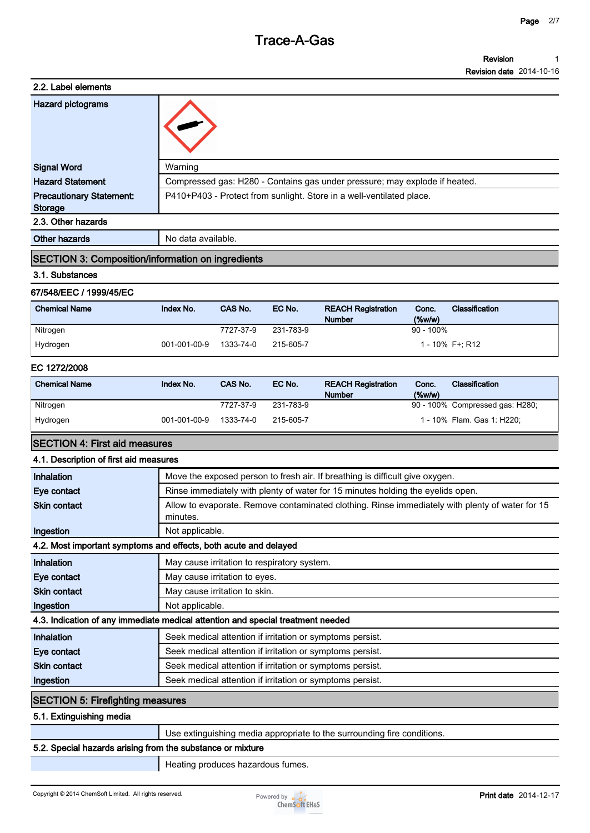#### **Revision Revision date 2014-10-16 1**

| 2.2. Label elements             |                                                                            |
|---------------------------------|----------------------------------------------------------------------------|
| Hazard pictograms               |                                                                            |
| <b>Signal Word</b>              | Warning                                                                    |
| <b>Hazard Statement</b>         | Compressed gas: H280 - Contains gas under pressure; may explode if heated. |
| <b>Precautionary Statement:</b> | P410+P403 - Protect from sunlight. Store in a well-ventilated place.       |
| Storage                         |                                                                            |
| 2.3. Other hazards              |                                                                            |
| <b>Other hazards</b>            | No data available.                                                         |

#### **SECTION 3: Composition/information on ingredients**

#### **3.1. Substances**

#### **67/548/EEC / 1999/45/EC**

| <b>Chemical Name</b> | Index No.    | CAS No.   | EC No.    | <b>REACH Registration</b><br><b>Number</b> | Conc.<br>$(\%w/w)$ | Classification  |
|----------------------|--------------|-----------|-----------|--------------------------------------------|--------------------|-----------------|
| Nitrogen             |              | 7727-37-9 | 231-783-9 |                                            | $90 - 100\%$       |                 |
| Hydrogen             | 001-001-00-9 | 1333-74-0 | 215-605-7 |                                            |                    | 1 - 10% F+: R12 |

#### **EC 1272/2008**

| <b>Chemical Name</b> | Index No.    | CAS No.   | EC No.    | <b>REACH Registration</b><br><b>Number</b> | Conc.<br>$(\%w/w)$ | <b>Classification</b>           |
|----------------------|--------------|-----------|-----------|--------------------------------------------|--------------------|---------------------------------|
| Nitrogen             |              | 7727-37-9 | 231-783-9 |                                            |                    | 90 - 100% Compressed gas: H280; |
| Hydrogen             | 001-001-00-9 | 1333-74-0 | 215-605-7 |                                            |                    | 1 - 10% Flam. Gas 1: H220;      |

#### **SECTION 4: First aid measures**

#### **4.1. Description of first aid measures**

| Move the exposed person to fresh air. If breathing is difficult give oxygen.<br>Rinse immediately with plenty of water for 15 minutes holding the eyelids open. |
|-----------------------------------------------------------------------------------------------------------------------------------------------------------------|
|                                                                                                                                                                 |
|                                                                                                                                                                 |
| Allow to evaporate. Remove contaminated clothing. Rinse immediately with plenty of water for 15                                                                 |
| minutes.                                                                                                                                                        |
| Not applicable.                                                                                                                                                 |
| 4.2. Most important symptoms and effects, both acute and delayed                                                                                                |
| May cause irritation to respiratory system.                                                                                                                     |
| May cause irritation to eyes.                                                                                                                                   |
| May cause irritation to skin.                                                                                                                                   |
| Not applicable.                                                                                                                                                 |
| 4.3. Indication of any immediate medical attention and special treatment needed                                                                                 |
| Seek medical attention if irritation or symptoms persist.                                                                                                       |
| Seek medical attention if irritation or symptoms persist.                                                                                                       |
| Seek medical attention if irritation or symptoms persist.                                                                                                       |
| Seek medical attention if irritation or symptoms persist.                                                                                                       |
| <b>SECTION 5: Firefighting measures</b>                                                                                                                         |
|                                                                                                                                                                 |

### **5.1. Extinguishing media**

**Use extinguishing media appropriate to the surrounding fire conditions.**

### **5.2. Special hazards arising from the substance or mixture**

**Heating produces hazardous fumes.**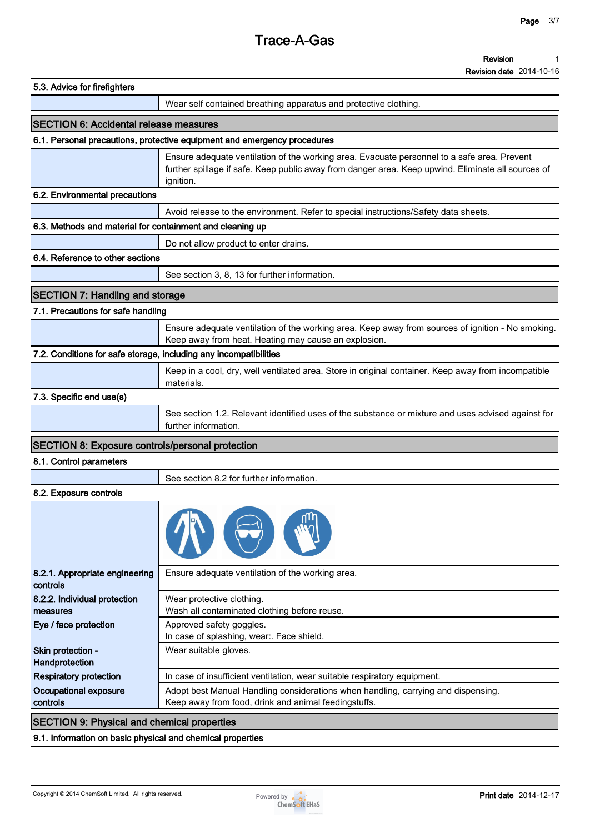| Revision                        |  |
|---------------------------------|--|
| <b>Revision date 2014-10-16</b> |  |

| 5.3. Advice for firefighters                                      |                                                                                                                                                                                                                |  |  |  |  |
|-------------------------------------------------------------------|----------------------------------------------------------------------------------------------------------------------------------------------------------------------------------------------------------------|--|--|--|--|
|                                                                   | Wear self contained breathing apparatus and protective clothing.                                                                                                                                               |  |  |  |  |
| <b>SECTION 6: Accidental release measures</b>                     |                                                                                                                                                                                                                |  |  |  |  |
|                                                                   | 6.1. Personal precautions, protective equipment and emergency procedures                                                                                                                                       |  |  |  |  |
|                                                                   | Ensure adequate ventilation of the working area. Evacuate personnel to a safe area. Prevent<br>further spillage if safe. Keep public away from danger area. Keep upwind. Eliminate all sources of<br>ignition. |  |  |  |  |
| 6.2. Environmental precautions                                    |                                                                                                                                                                                                                |  |  |  |  |
|                                                                   | Avoid release to the environment. Refer to special instructions/Safety data sheets.                                                                                                                            |  |  |  |  |
| 6.3. Methods and material for containment and cleaning up         |                                                                                                                                                                                                                |  |  |  |  |
|                                                                   | Do not allow product to enter drains.                                                                                                                                                                          |  |  |  |  |
| 6.4. Reference to other sections                                  |                                                                                                                                                                                                                |  |  |  |  |
|                                                                   | See section 3, 8, 13 for further information.                                                                                                                                                                  |  |  |  |  |
| <b>SECTION 7: Handling and storage</b>                            |                                                                                                                                                                                                                |  |  |  |  |
| 7.1. Precautions for safe handling                                |                                                                                                                                                                                                                |  |  |  |  |
|                                                                   | Ensure adequate ventilation of the working area. Keep away from sources of ignition - No smoking.<br>Keep away from heat. Heating may cause an explosion.                                                      |  |  |  |  |
| 7.2. Conditions for safe storage, including any incompatibilities |                                                                                                                                                                                                                |  |  |  |  |
|                                                                   | Keep in a cool, dry, well ventilated area. Store in original container. Keep away from incompatible<br>materials.                                                                                              |  |  |  |  |
| 7.3. Specific end use(s)                                          |                                                                                                                                                                                                                |  |  |  |  |
|                                                                   | See section 1.2. Relevant identified uses of the substance or mixture and uses advised against for<br>further information.                                                                                     |  |  |  |  |
| <b>SECTION 8: Exposure controls/personal protection</b>           |                                                                                                                                                                                                                |  |  |  |  |
| 8.1. Control parameters                                           |                                                                                                                                                                                                                |  |  |  |  |
|                                                                   | See section 8.2 for further information.                                                                                                                                                                       |  |  |  |  |
| 8.2. Exposure controls                                            |                                                                                                                                                                                                                |  |  |  |  |
|                                                                   |                                                                                                                                                                                                                |  |  |  |  |
| 8.2.1. Appropriate engineering<br>controls                        | Ensure adequate ventilation of the working area.                                                                                                                                                               |  |  |  |  |
| 8.2.2. Individual protection<br>measures                          | Wear protective clothing.<br>Wash all contaminated clothing before reuse.                                                                                                                                      |  |  |  |  |
| Eye / face protection                                             | Approved safety goggles.<br>In case of splashing, wear:. Face shield.                                                                                                                                          |  |  |  |  |
| Skin protection -<br>Handprotection                               | Wear suitable gloves.                                                                                                                                                                                          |  |  |  |  |
| <b>Respiratory protection</b>                                     | In case of insufficient ventilation, wear suitable respiratory equipment.                                                                                                                                      |  |  |  |  |
| Occupational exposure<br>controls                                 | Adopt best Manual Handling considerations when handling, carrying and dispensing.<br>Keep away from food, drink and animal feedingstuffs.                                                                      |  |  |  |  |
| <b>SECTION 9: Physical and chemical properties</b>                |                                                                                                                                                                                                                |  |  |  |  |

# **9.1. Information on basic physical and chemical properties**

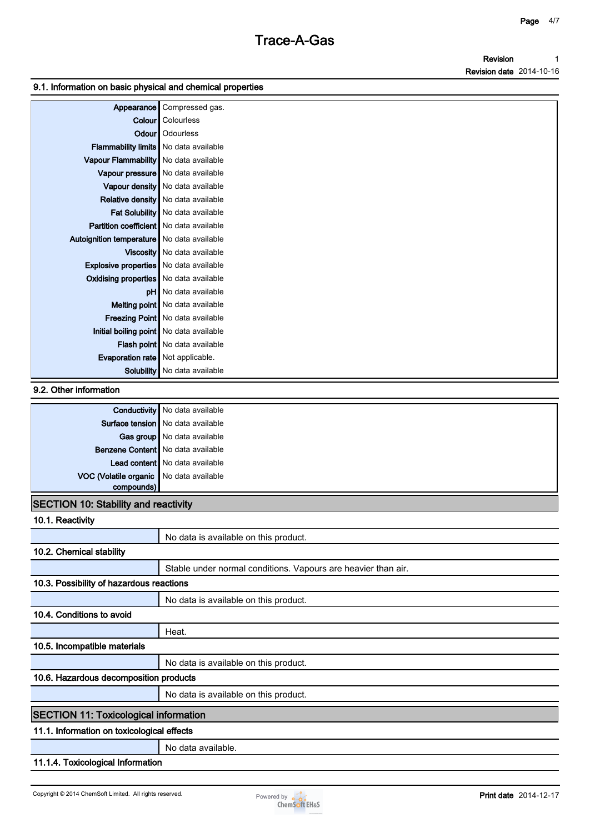#### **Revision Revision date 2014-10-16 1**

#### **9.1. Information on basic physical and chemical properties**

| Appearance                                    | Compressed gas.                           |
|-----------------------------------------------|-------------------------------------------|
|                                               | <b>Colour</b> Colourless                  |
|                                               | <b>Odour</b>   Odourless                  |
| Flammability limits   No data available       |                                           |
| Vapour Flammability   No data available       |                                           |
|                                               | Vapour pressure   No data available       |
|                                               | Vapour density   No data available        |
|                                               | <b>Relative density</b> No data available |
|                                               | Fat Solubility   No data available        |
| Partition coefficient   No data available     |                                           |
| Autoignition temperature   No data available  |                                           |
|                                               | Viscosity   No data available             |
| Explosive properties   No data available      |                                           |
| <b>Oxidising properties</b> No data available |                                           |
|                                               | pH   No data available                    |
|                                               | Melting point   No data available         |
|                                               | Freezing Point   No data available        |
| Initial boiling point No data available       |                                           |
|                                               | Flash point No data available             |
| Evaporation rate   Not applicable.            |                                           |
|                                               | Solubility   No data available            |

### **9.2. Other information**

|                                         | Conductivity   No data available    |
|-----------------------------------------|-------------------------------------|
|                                         | Surface tension   No data available |
|                                         | Gas group   No data available       |
|                                         | Benzene Content   No data available |
|                                         | Lead content   No data available    |
| VOC (Volatile organic No data available |                                     |
| compounds)                              |                                     |

### **SECTION 10: Stability and reactivity**

| 10.1. Reactivity                             |                                                               |
|----------------------------------------------|---------------------------------------------------------------|
|                                              | No data is available on this product.                         |
| 10.2. Chemical stability                     |                                                               |
|                                              | Stable under normal conditions. Vapours are heavier than air. |
| 10.3. Possibility of hazardous reactions     |                                                               |
|                                              | No data is available on this product.                         |
| 10.4. Conditions to avoid                    |                                                               |
|                                              | Heat.                                                         |
| 10.5. Incompatible materials                 |                                                               |
|                                              | No data is available on this product.                         |
| 10.6. Hazardous decomposition products       |                                                               |
|                                              | No data is available on this product.                         |
| <b>SECTION 11: Toxicological information</b> |                                                               |
| 11.1. Information on toxicological effects   |                                                               |
|                                              | No data available.                                            |
| 11.1.4. Toxicological Information            |                                                               |

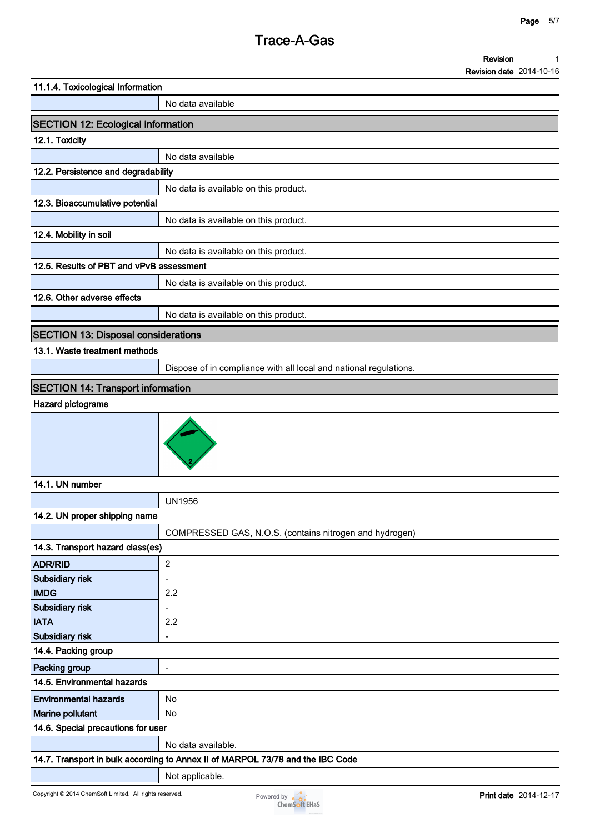| 11.1.4. Toxicological Information          |                                                                                |
|--------------------------------------------|--------------------------------------------------------------------------------|
|                                            | No data available                                                              |
| <b>SECTION 12: Ecological information</b>  |                                                                                |
| 12.1. Toxicity                             |                                                                                |
|                                            | No data available                                                              |
| 12.2. Persistence and degradability        |                                                                                |
|                                            | No data is available on this product.                                          |
| 12.3. Bioaccumulative potential            |                                                                                |
|                                            | No data is available on this product.                                          |
| 12.4. Mobility in soil                     |                                                                                |
|                                            | No data is available on this product.                                          |
| 12.5. Results of PBT and vPvB assessment   |                                                                                |
|                                            | No data is available on this product.                                          |
| 12.6. Other adverse effects                |                                                                                |
|                                            | No data is available on this product.                                          |
| <b>SECTION 13: Disposal considerations</b> |                                                                                |
| 13.1. Waste treatment methods              |                                                                                |
|                                            | Dispose of in compliance with all local and national regulations.              |
| <b>SECTION 14: Transport information</b>   |                                                                                |
| Hazard pictograms                          |                                                                                |
|                                            |                                                                                |
| 14.1. UN number                            |                                                                                |
|                                            | <b>UN1956</b>                                                                  |
| 14.2. UN proper shipping name              |                                                                                |
|                                            | COMPRESSED GAS, N.O.S. (contains nitrogen and hydrogen)                        |
| 14.3. Transport hazard class(es)           |                                                                                |
| <b>ADR/RID</b>                             | $\overline{c}$                                                                 |
| Subsidiary risk                            | $\overline{\phantom{a}}$                                                       |
| <b>IMDG</b>                                | 2.2                                                                            |
| Subsidiary risk<br><b>IATA</b>             | $\overline{\phantom{a}}$<br>2.2                                                |
| Subsidiary risk                            | $\overline{\phantom{a}}$                                                       |
| 14.4. Packing group                        |                                                                                |
| Packing group                              | $\blacksquare$                                                                 |
| 14.5. Environmental hazards                |                                                                                |
| <b>Environmental hazards</b>               | No                                                                             |
| Marine pollutant                           | No                                                                             |
| 14.6. Special precautions for user         |                                                                                |
|                                            | No data available.                                                             |
|                                            | 14.7. Transport in bulk according to Annex II of MARPOL 73/78 and the IBC Code |
|                                            | Not applicable.                                                                |

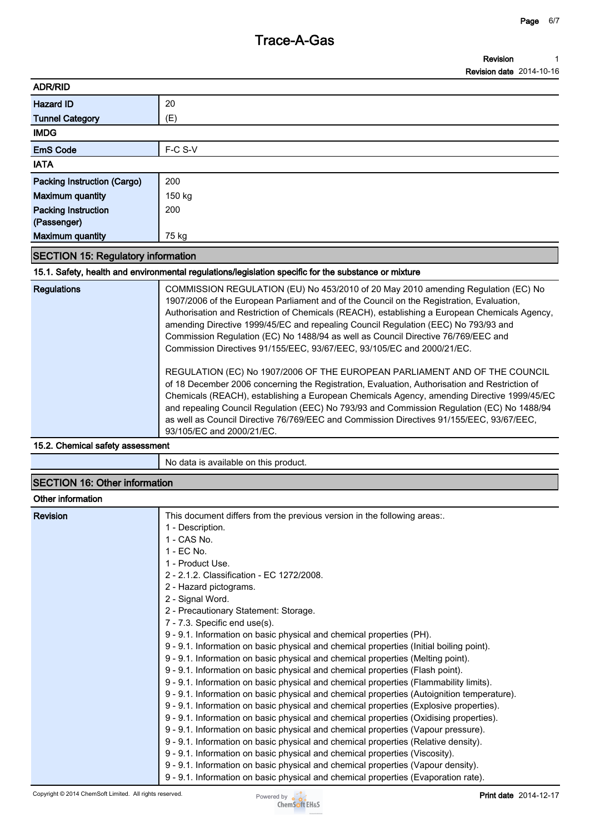#### **Revision Revision date 2014-10-16 1**

|                                        | <b>INGVISION GALG ZO 14-10-10</b> |
|----------------------------------------|-----------------------------------|
| <b>ADR/RID</b>                         |                                   |
| Hazard ID                              | 20                                |
| <b>Tunnel Category</b>                 | (E)                               |
| <b>IMDG</b>                            |                                   |
| <b>EmS Code</b>                        | F-C S-V                           |
| <b>IATA</b>                            |                                   |
| Packing Instruction (Cargo)            | 200                               |
| <b>Maximum quantity</b>                | 150 kg                            |
| <b>Packing Instruction</b>             | 200                               |
| (Passenger)<br><b>Maximum quantity</b> | 75 kg                             |

# **SECTION 15: Regulatory information**

**15.1. Safety, health and environmental regulations/legislation specific for the substance or mixture**

| <b>Regulations</b> | COMMISSION REGULATION (EU) No 453/2010 of 20 May 2010 amending Regulation (EC) No<br>1907/2006 of the European Parliament and of the Council on the Registration, Evaluation,<br>Authorisation and Restriction of Chemicals (REACH), establishing a European Chemicals Agency,<br>amending Directive 1999/45/EC and repealing Council Regulation (EEC) No 793/93 and<br>Commission Regulation (EC) No 1488/94 as well as Council Directive 76/769/EEC and<br>Commission Directives 91/155/EEC, 93/67/EEC, 93/105/EC and 2000/21/EC. |
|--------------------|-------------------------------------------------------------------------------------------------------------------------------------------------------------------------------------------------------------------------------------------------------------------------------------------------------------------------------------------------------------------------------------------------------------------------------------------------------------------------------------------------------------------------------------|
|                    | REGULATION (EC) No 1907/2006 OF THE EUROPEAN PARLIAMENT AND OF THE COUNCIL<br>of 18 December 2006 concerning the Registration, Evaluation, Authorisation and Restriction of<br>Chemicals (REACH), establishing a European Chemicals Agency, amending Directive 1999/45/EC<br>and repealing Council Regulation (EEC) No 793/93 and Commission Regulation (EC) No 1488/94<br>as well as Council Directive 76/769/EEC and Commission Directives 91/155/EEC, 93/67/EEC,<br>93/105/EC and 2000/21/EC.                                    |

**15.2. Chemical safety assessment**

**No data is available on this product.**

# **SECTION 16: Other information**

## **Other information**

| <b>Revision</b> | This document differs from the previous version in the following areas:.                   |
|-----------------|--------------------------------------------------------------------------------------------|
|                 | 1 - Description.                                                                           |
|                 | 1 - CAS No.                                                                                |
|                 | 1 - EC No.                                                                                 |
|                 | 1 - Product Use.                                                                           |
|                 | 2 - 2.1.2. Classification - EC 1272/2008.                                                  |
|                 | 2 - Hazard pictograms.                                                                     |
|                 | 2 - Signal Word.                                                                           |
|                 | 2 - Precautionary Statement: Storage.                                                      |
|                 | 7 - 7.3. Specific end use(s).                                                              |
|                 | 9 - 9.1. Information on basic physical and chemical properties (PH).                       |
|                 | 9 - 9.1. Information on basic physical and chemical properties (Initial boiling point).    |
|                 | 9 - 9.1. Information on basic physical and chemical properties (Melting point).            |
|                 | 9 - 9.1. Information on basic physical and chemical properties (Flash point).              |
|                 | 9 - 9.1. Information on basic physical and chemical properties (Flammability limits).      |
|                 | 9 - 9.1. Information on basic physical and chemical properties (Autoignition temperature). |
|                 | 9 - 9.1. Information on basic physical and chemical properties (Explosive properties).     |
|                 | 9 - 9.1. Information on basic physical and chemical properties (Oxidising properties).     |
|                 | 9 - 9.1. Information on basic physical and chemical properties (Vapour pressure).          |
|                 | 9 - 9.1. Information on basic physical and chemical properties (Relative density).         |
|                 | 9 - 9.1. Information on basic physical and chemical properties (Viscosity).                |
|                 | 9 - 9.1. Information on basic physical and chemical properties (Vapour density).           |
|                 | 9 - 9.1. Information on basic physical and chemical properties (Evaporation rate).         |